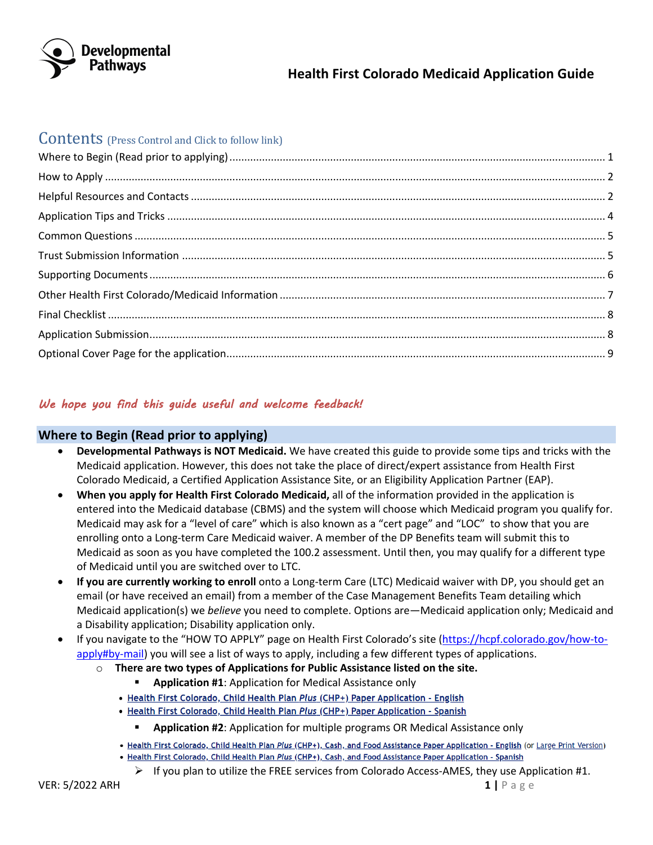

### **Contents** (Press Control and Click to follow link)

# We hope you find this guide useful and welcome feedback!

#### **Where to Begin (Read prior to applying)**

- **Developmental Pathways is NOT Medicaid.** We have created this guide to provide some tips and tricks with the Medicaid application. However, this does not take the place of direct/expert assistance from Health First Colorado Medicaid, a Certified Application Assistance Site, or an Eligibility Application Partner (EAP).
- **When you apply for Health First Colorado Medicaid,** all of the information provided in the application is entered into the Medicaid database (CBMS) and the system will choose which Medicaid program you qualify for. Medicaid may ask for a "level of care" which is also known as a "cert page" and "LOC" to show that you are enrolling onto a Long-term Care Medicaid waiver. A member of the DP Benefits team will submit this to Medicaid as soon as you have completed the 100.2 assessment. Until then, you may qualify for a different type of Medicaid until you are switched over to LTC.
- **If you are currently working to enroll** onto a Long-term Care (LTC) Medicaid waiver with DP, you should get an email (or have received an email) from a member of the Case Management Benefits Team detailing which Medicaid application(s) we *believe* you need to complete. Options are—Medicaid application only; Medicaid and a Disability application; Disability application only.
- If you navigate to the "HOW TO APPLY" page on Health First Colorado's site (https://hcpf.colorado.gov/how-toapply#by-mail) you will see a list of ways to apply, including a few different types of applications.
	- o **There are two types of Applications for Public Assistance listed on the site.** 
		- **Application #1**: Application for Medical Assistance only
		- Health First Colorado, Child Health Plan Plus (CHP+) Paper Application English
		- Health First Colorado, Child Health Plan Plus (CHP+) Paper Application Spanish
			- **E** Application #2: Application for multiple programs OR Medical Assistance only
		- . Health First Colorado, Child Health Plan Plus (CHP+), Cash, and Food Assistance Paper Application English (or Large Print Version)
		- Health First Colorado, Child Health Plan Plus (CHP+), Cash, and Food Assistance Paper Application Spanish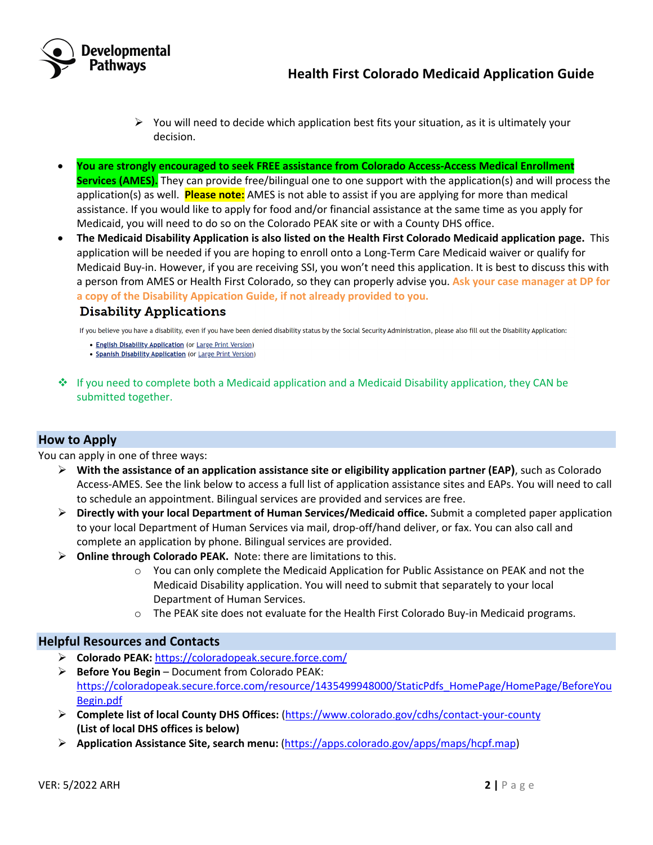

- $\triangleright$  You will need to decide which application best fits your situation, as it is ultimately your decision.
- **You are strongly encouraged to seek FREE assistance from Colorado Access-Access Medical Enrollment Services (AMES).** They can provide free/bilingual one to one support with the application(s) and will process the application(s) as well. **Please note:** AMES is not able to assist if you are applying for more than medical assistance. If you would like to apply for food and/or financial assistance at the same time as you apply for Medicaid, you will need to do so on the Colorado PEAK site or with a County DHS office.
- **The Medicaid Disability Application is also listed on the Health First Colorado Medicaid application page.** This application will be needed if you are hoping to enroll onto a Long-Term Care Medicaid waiver or qualify for Medicaid Buy-in. However, if you are receiving SSI, you won't need this application. It is best to discuss this with a person from AMES or Health First Colorado, so they can properly advise you. **Ask your case manager at DP for a copy of the Disability Appication Guide, if not already provided to you.**

#### **Disability Applications**

If you believe you have a disability, even if you have been denied disability status by the Social Security Administration, please also fill out the Disability Application:

- English Disability Application (or Large Print Version)
- Spanish Disability Application (or Large Print Version)
- $\clubsuit$  If you need to complete both a Medicaid application and a Medicaid Disability application, they CAN be submitted together.

#### **How to Apply**

You can apply in one of three ways:

- Ø **With the assistance of an application assistance site or eligibility application partner (EAP)**, such as Colorado Access-AMES. See the link below to access a full list of application assistance sites and EAPs. You will need to call to schedule an appointment. Bilingual services are provided and services are free.
- Ø **Directly with your local Department of Human Services/Medicaid office.** Submit a completed paper application to your local Department of Human Services via mail, drop-off/hand deliver, or fax. You can also call and complete an application by phone. Bilingual services are provided.
- Ø **Online through Colorado PEAK.** Note: there are limitations to this.
	- $\circ$  You can only complete the Medicaid Application for Public Assistance on PEAK and not the Medicaid Disability application. You will need to submit that separately to your local Department of Human Services.
	- $\circ$  The PEAK site does not evaluate for the Health First Colorado Buy-in Medicaid programs.

#### **Helpful Resources and Contacts**

- Ø **Colorado PEAK:** https://coloradopeak.secure.force.com/
- Ø **Before You Begin** Document from Colorado PEAK: https://coloradopeak.secure.force.com/resource/1435499948000/StaticPdfs\_HomePage/HomePage/BeforeYou Begin.pdf
- Ø **Complete list of local County DHS Offices:** (https://www.colorado.gov/cdhs/contact-your-county **(List of local DHS offices is below)**
- Ø **Application Assistance Site, search menu:** (https://apps.colorado.gov/apps/maps/hcpf.map)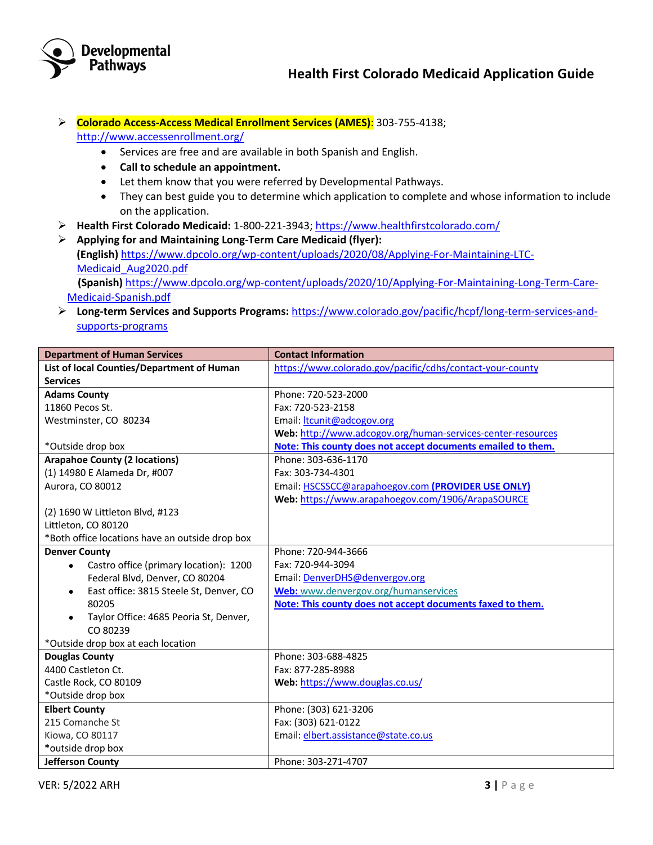

Ø **Colorado Access-Access Medical Enrollment Services (AMES)**: 303-755-4138;

http://www.accessenrollment.org/

- Services are free and are available in both Spanish and English.
- **Call to schedule an appointment.**
- Let them know that you were referred by Developmental Pathways.
- They can best guide you to determine which application to complete and whose information to include on the application.
- Ø **Health First Colorado Medicaid:** 1-800-221-3943; https://www.healthfirstcolorado.com/
- Ø **Applying for and Maintaining Long-Term Care Medicaid (flyer): (English)** https://www.dpcolo.org/wp-content/uploads/2020/08/Applying-For-Maintaining-LTC-Medicaid\_Aug2020.pdf **(Spanish)** https://www.dpcolo.org/wp-content/uploads/2020/10/Applying-For-Maintaining-Long-Term-Care-Medicaid-Spanish.pdf
- Ø **Long-term Services and Supports Programs:** https://www.colorado.gov/pacific/hcpf/long-term-services-andsupports-programs

| <b>Department of Human Services</b>             | <b>Contact Information</b>                                   |
|-------------------------------------------------|--------------------------------------------------------------|
| List of local Counties/Department of Human      | https://www.colorado.gov/pacific/cdhs/contact-your-county    |
| <b>Services</b>                                 |                                                              |
| <b>Adams County</b>                             | Phone: 720-523-2000                                          |
| 11860 Pecos St.                                 | Fax: 720-523-2158                                            |
| Westminster, CO 80234                           | Email: ltcunit@adcogov.org                                   |
|                                                 | Web: http://www.adcogov.org/human-services-center-resources  |
| *Outside drop box                               | Note: This county does not accept documents emailed to them. |
| <b>Arapahoe County (2 locations)</b>            | Phone: 303-636-1170                                          |
| (1) 14980 E Alameda Dr, #007                    | Fax: 303-734-4301                                            |
| Aurora, CO 80012                                | Email: HSCSSCC@arapahoegov.com (PROVIDER USE ONLY)           |
|                                                 | Web: https://www.arapahoegov.com/1906/ArapaSOURCE            |
| (2) 1690 W Littleton Blvd, #123                 |                                                              |
| Littleton, CO 80120                             |                                                              |
| *Both office locations have an outside drop box |                                                              |
| <b>Denver County</b>                            | Phone: 720-944-3666                                          |
| Castro office (primary location): 1200          | Fax: 720-944-3094                                            |
| Federal Blvd, Denver, CO 80204                  | Email: DenverDHS@denvergov.org                               |
| East office: 3815 Steele St, Denver, CO         | Web: www.denvergov.org/humanservices                         |
| 80205                                           | Note: This county does not accept documents faxed to them.   |
| Taylor Office: 4685 Peoria St, Denver,          |                                                              |
| CO 80239                                        |                                                              |
| *Outside drop box at each location              |                                                              |
| <b>Douglas County</b>                           | Phone: 303-688-4825                                          |
| 4400 Castleton Ct.                              | Fax: 877-285-8988                                            |
| Castle Rock, CO 80109                           | Web: https://www.douglas.co.us/                              |
| *Outside drop box                               |                                                              |
| <b>Elbert County</b>                            | Phone: (303) 621-3206                                        |
| 215 Comanche St                                 | Fax: (303) 621-0122                                          |
| Kiowa, CO 80117                                 | Email: elbert.assistance@state.co.us                         |
| *outside drop box                               |                                                              |
| Jefferson County                                | Phone: 303-271-4707                                          |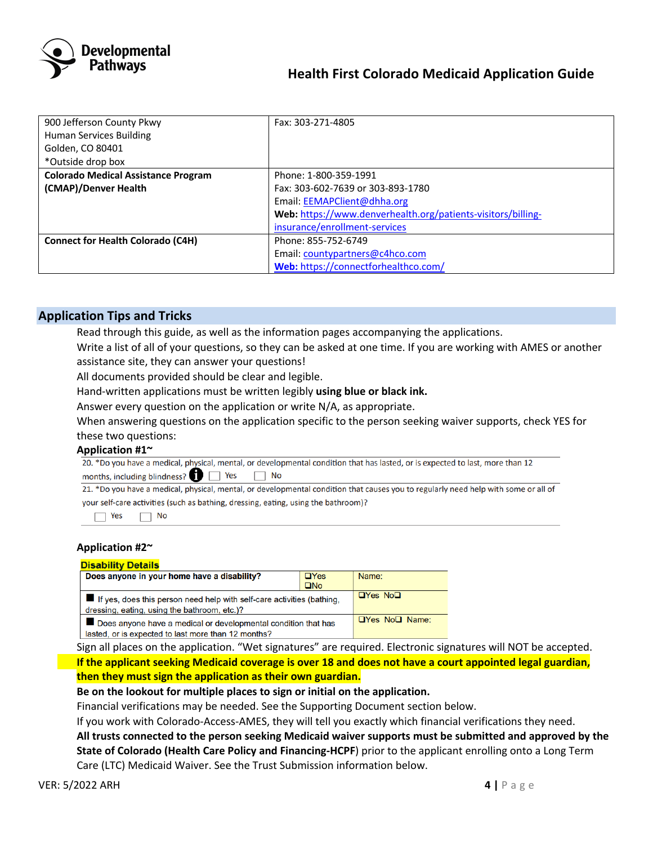

| 900 Jefferson County Pkwy                  | Fax: 303-271-4805                                            |
|--------------------------------------------|--------------------------------------------------------------|
| <b>Human Services Building</b>             |                                                              |
| Golden, CO 80401                           |                                                              |
| *Outside drop box                          |                                                              |
| <b>Colorado Medical Assistance Program</b> | Phone: 1-800-359-1991                                        |
| (CMAP)/Denver Health                       | Fax: 303-602-7639 or 303-893-1780                            |
|                                            | Email: EEMAPClient@dhha.org                                  |
|                                            | Web: https://www.denverhealth.org/patients-visitors/billing- |
|                                            | insurance/enrollment-services                                |
| <b>Connect for Health Colorado (C4H)</b>   | Phone: 855-752-6749                                          |
|                                            | Email: countypartners@c4hco.com                              |
|                                            | Web: https://connectforhealthco.com/                         |

#### **Application Tips and Tricks**

Read through this guide, as well as the information pages accompanying the applications.

 Write a list of all of your questions, so they can be asked at one time. If you are working with AMES or another assistance site, they can answer your questions!

All documents provided should be clear and legible.

Hand-written applications must be written legibly **using blue or black ink.**

Answer every question on the application or write N/A, as appropriate.

 When answering questions on the application specific to the person seeking waiver supports, check YES for these two questions:

Application #1<sup>~</sup><br>20. \*Do you have a medical, physical, mental, or developmental condition that has lasted, or is expected to last, more than 12 months, including blindness?  $\Box$  Yes  $\Box$  No

21. \*Do you have a medical, physical, mental, or developmental condition that causes you to regularly need help with some or all of your self-care activities (such as bathing, dressing, eating, using the bathroom)?



#### **Application #2~**

#### **Disability Details**

| Does anyone in your home have a disability?                                                                            | $\Box$ Yes   | Name:                      |
|------------------------------------------------------------------------------------------------------------------------|--------------|----------------------------|
|                                                                                                                        | $\square$ No |                            |
| If yes, does this person need help with self-care activities (bathing,<br>dressing, eating, using the bathroom, etc.)? |              | $\Box$ Yes No $\Box$       |
| Does anyone have a medical or developmental condition that has                                                         |              | $\Box$ Yes No $\Box$ Name: |
| lasted, or is expected to last more than 12 months?                                                                    |              |                            |

 Sign all places on the application. "Wet signatures" are required. Electronic signatures will NOT be accepted. **If the applicant seeking Medicaid coverage is over 18 and does not have a court appointed legal guardian, then they must sign the application as their own guardian.** 

#### **Be on the lookout for multiple places to sign or initial on the application.**

Financial verifications may be needed. See the Supporting Document section below.

If you work with Colorado-Access-AMES, they will tell you exactly which financial verifications they need.

 **All trusts connected to the person seeking Medicaid waiver supports must be submitted and approved by the State of Colorado (Health Care Policy and Financing-HCPF**) prior to the applicant enrolling onto a Long Term Care (LTC) Medicaid Waiver. See the Trust Submission information below.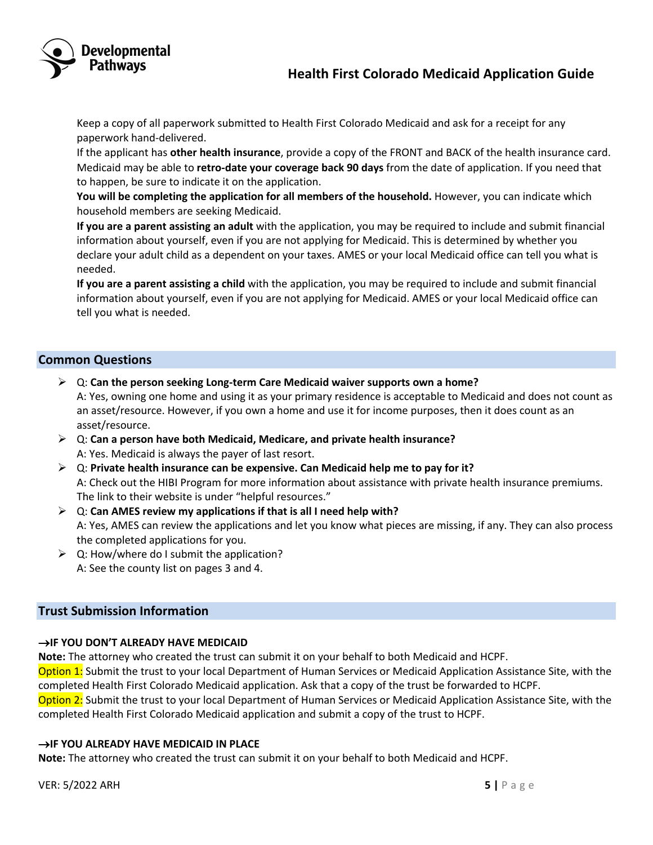

 Keep a copy of all paperwork submitted to Health First Colorado Medicaid and ask for a receipt for any paperwork hand-delivered.

 If the applicant has **other health insurance**, provide a copy of the FRONT and BACK of the health insurance card. Medicaid may be able to **retro-date your coverage back 90 days** from the date of application. If you need that to happen, be sure to indicate it on the application.

 **You will be completing the application for all members of the household.** However, you can indicate which household members are seeking Medicaid.

 **If you are a parent assisting an adult** with the application, you may be required to include and submit financial information about yourself, even if you are not applying for Medicaid. This is determined by whether you declare your adult child as a dependent on your taxes. AMES or your local Medicaid office can tell you what is needed.

 **If you are a parent assisting a child** with the application, you may be required to include and submit financial information about yourself, even if you are not applying for Medicaid. AMES or your local Medicaid office can tell you what is needed.

#### **Common Questions**

- Ø Q: **Can the person seeking Long-term Care Medicaid waiver supports own a home?** A: Yes, owning one home and using it as your primary residence is acceptable to Medicaid and does not count as an asset/resource. However, if you own a home and use it for income purposes, then it does count as an asset/resource.
- Ø Q: **Can a person have both Medicaid, Medicare, and private health insurance?** A: Yes. Medicaid is always the payer of last resort.
- Ø Q: **Private health insurance can be expensive. Can Medicaid help me to pay for it?**  A: Check out the HIBI Program for more information about assistance with private health insurance premiums. The link to their website is under "helpful resources."
- Ø Q: **Can AMES review my applications if that is all I need help with?**  A: Yes, AMES can review the applications and let you know what pieces are missing, if any. They can also process the completed applications for you.
- $\geq$  Q: How/where do I submit the application? A: See the county list on pages 3 and 4.

#### **Trust Submission Information**

#### **→IF YOU DON'T ALREADY HAVE MEDICAID**

**Note:** The attorney who created the trust can submit it on your behalf to both Medicaid and HCPF.

Option 1: Submit the trust to your local Department of Human Services or Medicaid Application Assistance Site, with the completed Health First Colorado Medicaid application. Ask that a copy of the trust be forwarded to HCPF.

Option 2: Submit the trust to your local Department of Human Services or Medicaid Application Assistance Site, with the completed Health First Colorado Medicaid application and submit a copy of the trust to HCPF.

#### **→IF YOU ALREADY HAVE MEDICAID IN PLACE**

**Note:** The attorney who created the trust can submit it on your behalf to both Medicaid and HCPF.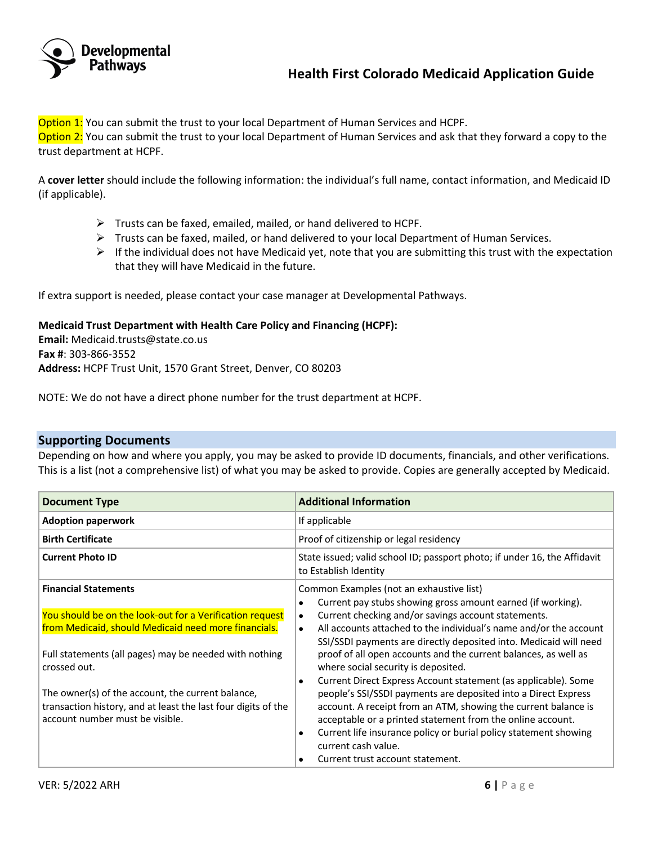

Option 1: You can submit the trust to your local Department of Human Services and HCPF. Option 2: You can submit the trust to your local Department of Human Services and ask that they forward a copy to the trust department at HCPF.

A **cover letter** should include the following information: the individual's full name, contact information, and Medicaid ID (if applicable).

- $\triangleright$  Trusts can be faxed, emailed, mailed, or hand delivered to HCPF.
- $\triangleright$  Trusts can be faxed, mailed, or hand delivered to your local Department of Human Services.
- $\triangleright$  If the individual does not have Medicaid yet, note that you are submitting this trust with the expectation that they will have Medicaid in the future.

If extra support is needed, please contact your case manager at Developmental Pathways.

#### **Medicaid Trust Department with Health Care Policy and Financing (HCPF):**

**Email:** Medicaid.trusts@state.co.us **Fax #**: 303-866-3552 **Address:** HCPF Trust Unit, 1570 Grant Street, Denver, CO 80203

NOTE: We do not have a direct phone number for the trust department at HCPF.

#### **Supporting Documents**

Depending on how and where you apply, you may be asked to provide ID documents, financials, and other verifications. This is a list (not a comprehensive list) of what you may be asked to provide. Copies are generally accepted by Medicaid.

| <b>Document Type</b>                                                                                                                                  | <b>Additional Information</b>                                                                                                                                                                                                                                                                                                                                                                             |
|-------------------------------------------------------------------------------------------------------------------------------------------------------|-----------------------------------------------------------------------------------------------------------------------------------------------------------------------------------------------------------------------------------------------------------------------------------------------------------------------------------------------------------------------------------------------------------|
| <b>Adoption paperwork</b>                                                                                                                             | If applicable                                                                                                                                                                                                                                                                                                                                                                                             |
| <b>Birth Certificate</b>                                                                                                                              | Proof of citizenship or legal residency                                                                                                                                                                                                                                                                                                                                                                   |
| <b>Current Photo ID</b>                                                                                                                               | State issued; valid school ID; passport photo; if under 16, the Affidavit<br>to Establish Identity                                                                                                                                                                                                                                                                                                        |
| <b>Financial Statements</b>                                                                                                                           | Common Examples (not an exhaustive list)<br>Current pay stubs showing gross amount earned (if working).<br>$\bullet$                                                                                                                                                                                                                                                                                      |
| You should be on the look-out for a Verification request<br>from Medicaid, should Medicaid need more financials.                                      | Current checking and/or savings account statements.<br>٠<br>All accounts attached to the individual's name and/or the account<br>$\bullet$<br>SSI/SSDI payments are directly deposited into. Medicaid will need                                                                                                                                                                                           |
| Full statements (all pages) may be needed with nothing<br>crossed out.                                                                                | proof of all open accounts and the current balances, as well as<br>where social security is deposited.                                                                                                                                                                                                                                                                                                    |
| The owner(s) of the account, the current balance,<br>transaction history, and at least the last four digits of the<br>account number must be visible. | Current Direct Express Account statement (as applicable). Some<br>٠<br>people's SSI/SSDI payments are deposited into a Direct Express<br>account. A receipt from an ATM, showing the current balance is<br>acceptable or a printed statement from the online account.<br>Current life insurance policy or burial policy statement showing<br>٠<br>current cash value.<br>Current trust account statement. |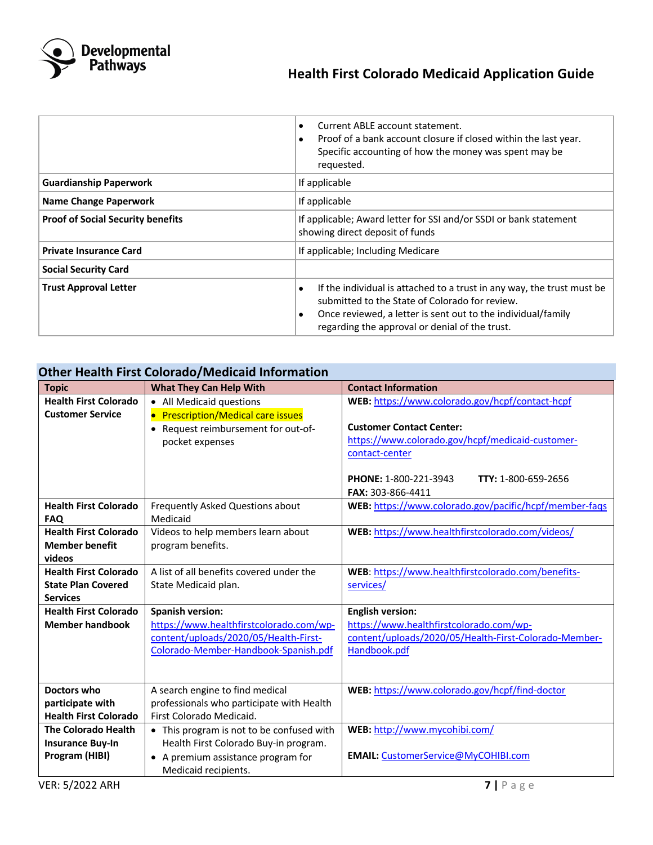

# **Media Proprients**<br> **Health First Colorado Medicaid Application Guide**<br>
Health First Colorado Medicaid Application Guide

|                                          | Current ABLE account statement.<br>Proof of a bank account closure if closed within the last year.<br>Specific accounting of how the money was spent may be<br>requested.                                                                            |  |
|------------------------------------------|------------------------------------------------------------------------------------------------------------------------------------------------------------------------------------------------------------------------------------------------------|--|
| <b>Guardianship Paperwork</b>            | If applicable                                                                                                                                                                                                                                        |  |
| <b>Name Change Paperwork</b>             | If applicable                                                                                                                                                                                                                                        |  |
| <b>Proof of Social Security benefits</b> | If applicable; Award letter for SSI and/or SSDI or bank statement<br>showing direct deposit of funds                                                                                                                                                 |  |
| <b>Private Insurance Card</b>            | If applicable; Including Medicare                                                                                                                                                                                                                    |  |
| <b>Social Security Card</b>              |                                                                                                                                                                                                                                                      |  |
| <b>Trust Approval Letter</b>             | If the individual is attached to a trust in any way, the trust must be<br>٠<br>submitted to the State of Colorado for review.<br>Once reviewed, a letter is sent out to the individual/family<br>٠<br>regarding the approval or denial of the trust. |  |

# **Other Health First Colorado/Medicaid Information**

| <b>Topic</b>                                     | <b>What They Can Help With</b>                                        | <b>Contact Information</b>                             |
|--------------------------------------------------|-----------------------------------------------------------------------|--------------------------------------------------------|
| <b>Health First Colorado</b>                     | • All Medicaid questions                                              | WEB: https://www.colorado.gov/hcpf/contact-hcpf        |
| <b>Customer Service</b>                          | • Prescription/Medical care issues                                    |                                                        |
|                                                  | • Request reimbursement for out-of-                                   | <b>Customer Contact Center:</b>                        |
|                                                  | pocket expenses                                                       | https://www.colorado.gov/hcpf/medicaid-customer-       |
|                                                  |                                                                       | contact-center                                         |
|                                                  |                                                                       |                                                        |
|                                                  |                                                                       | PHONE: 1-800-221-3943<br>TTY: 1-800-659-2656           |
|                                                  |                                                                       | FAX: 303-866-4411                                      |
| <b>Health First Colorado</b>                     | Frequently Asked Questions about                                      | WEB: https://www.colorado.gov/pacific/hcpf/member-faqs |
| <b>FAQ</b>                                       | Medicaid                                                              |                                                        |
| <b>Health First Colorado</b>                     | Videos to help members learn about                                    | WEB: https://www.healthfirstcolorado.com/videos/       |
| <b>Member benefit</b>                            | program benefits.                                                     |                                                        |
| videos                                           |                                                                       |                                                        |
| <b>Health First Colorado</b>                     | A list of all benefits covered under the                              | WEB: https://www.healthfirstcolorado.com/benefits-     |
| <b>State Plan Covered</b>                        | State Medicaid plan.                                                  | services/                                              |
| <b>Services</b>                                  |                                                                       |                                                        |
| <b>Health First Colorado</b>                     | <b>Spanish version:</b>                                               | <b>English version:</b>                                |
| <b>Member handbook</b>                           | https://www.healthfirstcolorado.com/wp-                               | https://www.healthfirstcolorado.com/wp-                |
|                                                  | content/uploads/2020/05/Health-First-                                 | content/uploads/2020/05/Health-First-Colorado-Member-  |
|                                                  | Colorado-Member-Handbook-Spanish.pdf                                  | Handbook.pdf                                           |
|                                                  |                                                                       |                                                        |
|                                                  |                                                                       |                                                        |
| Doctors who                                      | A search engine to find medical                                       | WEB: https://www.colorado.gov/hcpf/find-doctor         |
| participate with<br><b>Health First Colorado</b> | professionals who participate with Health<br>First Colorado Medicaid. |                                                        |
|                                                  |                                                                       |                                                        |
| <b>The Colorado Health</b>                       | • This program is not to be confused with                             | WEB: http://www.mycohibi.com/                          |
| <b>Insurance Buy-In</b>                          | Health First Colorado Buy-in program.                                 |                                                        |
| Program (HIBI)                                   | • A premium assistance program for                                    | EMAIL: CustomerService@MyCOHIBI.com                    |
|                                                  | Medicaid recipients.                                                  |                                                        |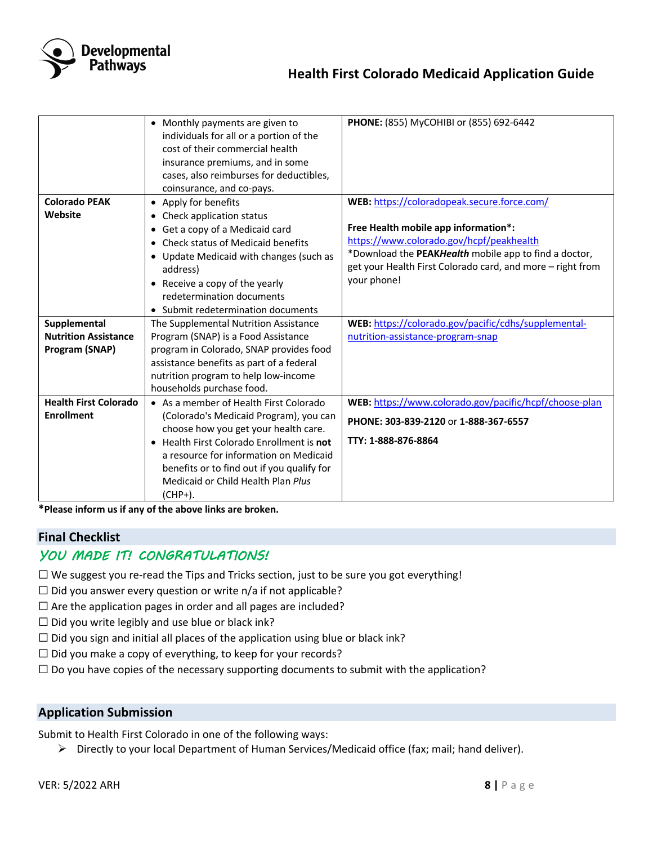

|                              | • Monthly payments are given to<br>individuals for all or a portion of the<br>cost of their commercial health<br>insurance premiums, and in some<br>cases, also reimburses for deductibles,<br>coinsurance, and co-pays. | PHONE: (855) MyCOHIBI or (855) 692-6442                                                           |
|------------------------------|--------------------------------------------------------------------------------------------------------------------------------------------------------------------------------------------------------------------------|---------------------------------------------------------------------------------------------------|
| <b>Colorado PEAK</b>         | • Apply for benefits                                                                                                                                                                                                     | WEB: https://coloradopeak.secure.force.com/                                                       |
| Website                      | • Check application status                                                                                                                                                                                               |                                                                                                   |
|                              | • Get a copy of a Medicaid card                                                                                                                                                                                          | Free Health mobile app information*:                                                              |
|                              | • Check status of Medicaid benefits                                                                                                                                                                                      | https://www.colorado.gov/hcpf/peakhealth<br>*Download the PEAKHealth mobile app to find a doctor, |
|                              | • Update Medicaid with changes (such as                                                                                                                                                                                  | get your Health First Colorado card, and more - right from                                        |
|                              | address)<br>• Receive a copy of the yearly                                                                                                                                                                               | your phone!                                                                                       |
|                              | redetermination documents                                                                                                                                                                                                |                                                                                                   |
|                              | • Submit redetermination documents                                                                                                                                                                                       |                                                                                                   |
| Supplemental                 | The Supplemental Nutrition Assistance                                                                                                                                                                                    | WEB: https://colorado.gov/pacific/cdhs/supplemental-                                              |
| <b>Nutrition Assistance</b>  | Program (SNAP) is a Food Assistance                                                                                                                                                                                      | nutrition-assistance-program-snap                                                                 |
| Program (SNAP)               | program in Colorado, SNAP provides food                                                                                                                                                                                  |                                                                                                   |
|                              | assistance benefits as part of a federal                                                                                                                                                                                 |                                                                                                   |
|                              | nutrition program to help low-income                                                                                                                                                                                     |                                                                                                   |
| <b>Health First Colorado</b> | households purchase food.                                                                                                                                                                                                |                                                                                                   |
| <b>Enrollment</b>            | • As a member of Health First Colorado<br>(Colorado's Medicaid Program), you can                                                                                                                                         | WEB: https://www.colorado.gov/pacific/hcpf/choose-plan                                            |
|                              | choose how you get your health care.                                                                                                                                                                                     | PHONE: 303-839-2120 or 1-888-367-6557                                                             |
|                              | • Health First Colorado Enrollment is not                                                                                                                                                                                | TTY: 1-888-876-8864                                                                               |
|                              | a resource for information on Medicaid                                                                                                                                                                                   |                                                                                                   |
|                              | benefits or to find out if you qualify for                                                                                                                                                                               |                                                                                                   |
|                              | Medicaid or Child Health Plan Plus                                                                                                                                                                                       |                                                                                                   |
|                              | (CHP+).                                                                                                                                                                                                                  |                                                                                                   |

**\*Please inform us if any of the above links are broken.**

## **Final Checklist**

# YOU MADE IT! CONGRATULATIONS!

☐ We suggest you re-read the Tips and Tricks section, just to be sure you got everything!

 $\Box$  Did you answer every question or write n/a if not applicable?

 $\Box$  Are the application pages in order and all pages are included?

 $\Box$  Did you write legibly and use blue or black ink?

 $\Box$  Did you sign and initial all places of the application using blue or black ink?

 $\Box$  Did you make a copy of everything, to keep for your records?

 $\Box$  Do you have copies of the necessary supporting documents to submit with the application?

#### **Application Submission**

Submit to Health First Colorado in one of the following ways:

Ø Directly to your local Department of Human Services/Medicaid office (fax; mail; hand deliver).